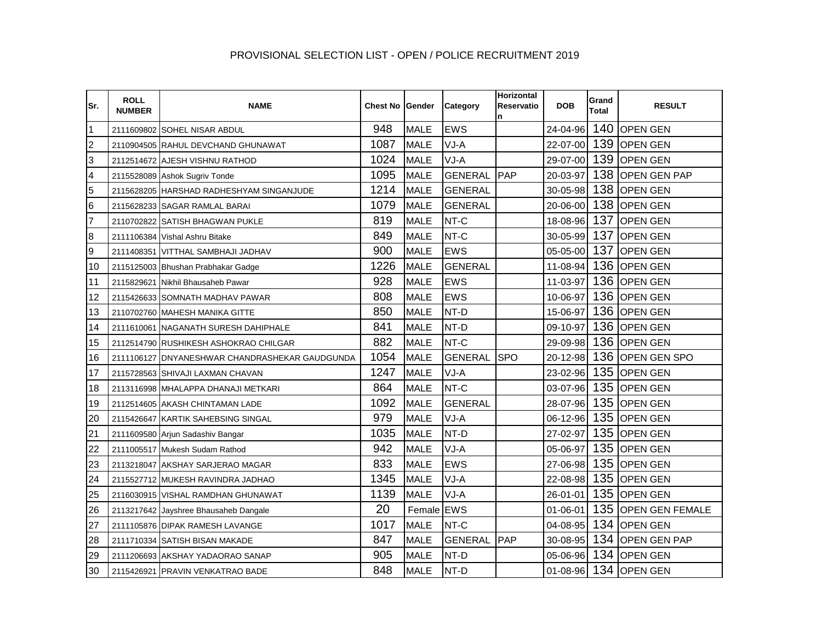## PROVISIONAL SELECTION LIST - OPEN / POLICE RECRUITMENT 2019

| lSr.            | <b>ROLL</b><br><b>NUMBER</b> | <b>NAME</b>                                    | <b>Chest No Gender</b> |             | <b>Category</b> | <b>Horizontal</b><br>Reservatio<br>n | <b>DOB</b>     | Grand<br>Total | <b>RESULT</b>          |
|-----------------|------------------------------|------------------------------------------------|------------------------|-------------|-----------------|--------------------------------------|----------------|----------------|------------------------|
| $\overline{1}$  |                              | 2111609802 SOHEL NISAR ABDUL                   | 948                    | <b>MALE</b> | <b>EWS</b>      |                                      | 24-04-96       | 140            | <b>OPEN GEN</b>        |
| $\overline{c}$  |                              | 2110904505 RAHUL DEVCHAND GHUNAWAT             | 1087                   | <b>MALE</b> | VJ-A            |                                      | 22-07-00       | 139            | <b>OPEN GEN</b>        |
| 3               |                              | 2112514672 AJESH VISHNU RATHOD                 | 1024                   | <b>MALE</b> | VJ-A            |                                      | 29-07-00       |                | 139 OPEN GEN           |
| 4               |                              | 2115528089 Ashok Sugriv Tonde                  | 1095                   | <b>MALE</b> | <b>GENERAL</b>  | PAP                                  | 20-03-97       | 138            | <b>OPEN GEN PAP</b>    |
| 5               |                              | 2115628205 HARSHAD RADHESHYAM SINGANJUDE       | 1214                   | <b>MALE</b> | <b>GENERAL</b>  |                                      | 30-05-98       | 138            | <b>OPEN GEN</b>        |
| $6\phantom{.}6$ |                              | 2115628233 SAGAR RAMLAL BARAI                  | 1079                   | <b>MALE</b> | <b>GENERAL</b>  |                                      | 20-06-00       |                | 138 OPEN GEN           |
| $\overline{7}$  |                              | 2110702822 SATISH BHAGWAN PUKLE                | 819                    | <b>MALE</b> | NT-C            |                                      | 18-08-96       | 137            | <b>OPEN GEN</b>        |
| $\overline{8}$  |                              | 2111106384 Vishal Ashru Bitake                 | 849                    | <b>MALE</b> | NT-C            |                                      | 30-05-99       | 137            | <b>OPEN GEN</b>        |
| 9               |                              | 2111408351 VITTHAL SAMBHAJI JADHAV             | 900                    | <b>MALE</b> | <b>EWS</b>      |                                      | 05-05-00       | 137            | <b>OPEN GEN</b>        |
| 10              |                              | 2115125003 Bhushan Prabhakar Gadge             | 1226                   | <b>MALE</b> | <b>GENERAL</b>  |                                      | 11-08-94       | 136            | <b>OPEN GEN</b>        |
| 11              |                              | 2115829621 Nikhil Bhausaheb Pawar              | 928                    | <b>MALE</b> | EWS             |                                      | 11-03-97       | 136            | <b>OPEN GEN</b>        |
| 12              |                              | 2115426633 SOMNATH MADHAV PAWAR                | 808                    | <b>MALE</b> | <b>EWS</b>      |                                      | 10-06-97       |                | 136 OPEN GEN           |
| 13              |                              | 2110702760 MAHESH MANIKA GITTE                 | 850                    | <b>MALE</b> | NT-D            |                                      | 15-06-97       |                | 136 OPEN GEN           |
| 14              |                              | 2111610061 NAGANATH SURESH DAHIPHALE           | 841                    | <b>MALE</b> | NT-D            |                                      | 09-10-97       | 136            | <b>OPEN GEN</b>        |
| 15              |                              | 2112514790 RUSHIKESH ASHOKRAO CHILGAR          | 882                    | <b>MALE</b> | NT-C            |                                      | 29-09-98       |                | 136 OPEN GEN           |
| 16              |                              | 2111106127 DNYANESHWAR CHANDRASHEKAR GAUDGUNDA | 1054                   | <b>MALE</b> | <b>GENERAL</b>  | <b>SPO</b>                           | 20-12-98       |                | 136 OPEN GEN SPO       |
| 17              |                              | 2115728563 SHIVAJI LAXMAN CHAVAN               | 1247                   | <b>MALE</b> | VJ-A            |                                      | 23-02-96       | 135            | <b>OPEN GEN</b>        |
| 18              |                              | 2113116998 MHALAPPA DHANAJI METKARI            | 864                    | <b>MALE</b> | NT-C            |                                      | 03-07-96       |                | 135 OPEN GEN           |
| 19              |                              | 2112514605 AKASH CHINTAMAN LADE                | 1092                   | <b>MALE</b> | <b>GENERAL</b>  |                                      | 28-07-96       |                | 135 OPEN GEN           |
| 20              |                              | 2115426647 KARTIK SAHEBSING SINGAL             | 979                    | <b>MALE</b> | VJ-A            |                                      | 06-12-96       | 135            | <b>OPEN GEN</b>        |
| 21              |                              | 2111609580 Arjun Sadashiv Bangar               | 1035                   | <b>MALE</b> | NT-D            |                                      | 27-02-97       |                | 135 OPEN GEN           |
| 22              |                              | 2111005517 Mukesh Sudam Rathod                 | 942                    | <b>MALE</b> | VJ-A            |                                      | 05-06-97       |                | 135 OPEN GEN           |
| 23              |                              | 2113218047 AKSHAY SARJERAO MAGAR               | 833                    | <b>MALE</b> | <b>EWS</b>      |                                      | 27-06-98       | 135            | <b>OPEN GEN</b>        |
| 24              |                              | 2115527712 MUKESH RAVINDRA JADHAO              | 1345                   | <b>MALE</b> | VJ-A            |                                      | 22-08-98       |                | 135 OPEN GEN           |
| 25              |                              | 2116030915 VISHAL RAMDHAN GHUNAWAT             | 1139                   | <b>MALE</b> | VJ-A            |                                      | 26-01-01       | 135            | <b>OPEN GEN</b>        |
| 26              |                              | 2113217642 Jayshree Bhausaheb Dangale          | 20                     | Female EWS  |                 |                                      | 01-06-01       | 135            | <b>OPEN GEN FEMALE</b> |
| 27              |                              | 2111105876 DIPAK RAMESH LAVANGE                | 1017                   | <b>MALE</b> | NT-C            |                                      | 04-08-95       |                | 134 OPEN GEN           |
| 28              |                              | 2111710334 SATISH BISAN MAKADE                 | 847                    | <b>MALE</b> | GENERAL         | PAP                                  | 30-08-95       |                | 134 OPEN GEN PAP       |
| 29              |                              | 2111206693 AKSHAY YADAORAO SANAP               | 905                    | <b>MALE</b> | NT-D            |                                      | 05-06-96       | 134            | <b>OPEN GEN</b>        |
| 30              |                              | 2115426921 PRAVIN VENKATRAO BADE               | 848                    | <b>MALE</b> | NT-D            |                                      | $01 - 08 - 96$ |                | 134 OPEN GEN           |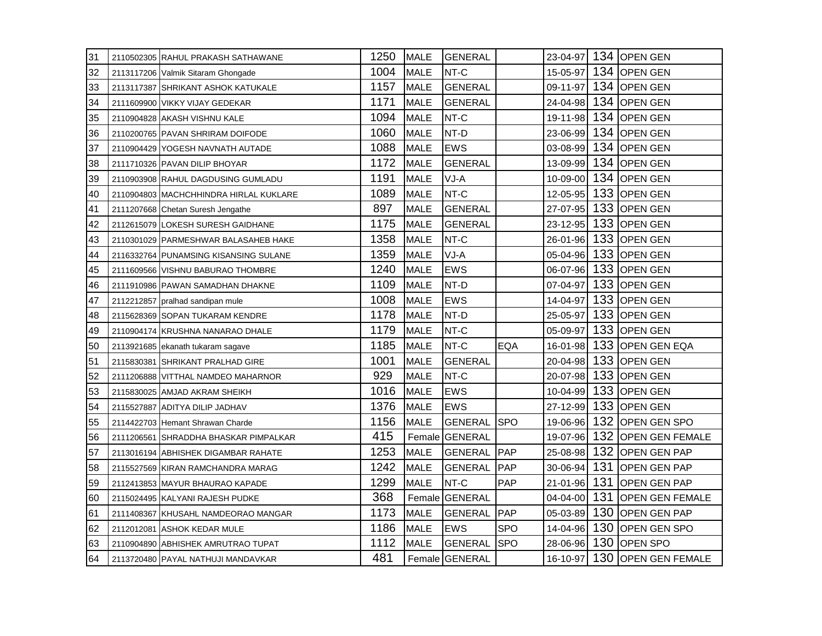| 31 | 2110502305 RAHUL PRAKASH SATHAWANE     | 1250 | <b>MALE</b> | <b>GENERAL</b> |            | 23-04-97 |     | 134 OPEN GEN                 |
|----|----------------------------------------|------|-------------|----------------|------------|----------|-----|------------------------------|
| 32 | 2113117206 Valmik Sitaram Ghongade     | 1004 | <b>MALE</b> | NT-C           |            | 15-05-97 |     | 134 OPEN GEN                 |
| 33 | 2113117387 SHRIKANT ASHOK KATUKALE     | 1157 | <b>MALE</b> | <b>GENERAL</b> |            | 09-11-97 |     | 134 OPEN GEN                 |
| 34 | 2111609900 VIKKY VIJAY GEDEKAR         | 1171 | <b>MALE</b> | <b>GENERAL</b> |            | 24-04-98 |     | 134 OPEN GEN                 |
| 35 | 2110904828 AKASH VISHNU KALE           | 1094 | <b>MALE</b> | NT-C           |            | 19-11-98 |     | 134 OPEN GEN                 |
| 36 | 2110200765 PAVAN SHRIRAM DOIFODE       | 1060 | <b>MALE</b> | NT-D           |            | 23-06-99 |     | 134 OPEN GEN                 |
| 37 | 2110904429 YOGESH NAVNATH AUTADE       | 1088 | <b>MALE</b> | <b>EWS</b>     |            | 03-08-99 |     | 134 OPEN GEN                 |
| 38 | 2111710326 PAVAN DILIP BHOYAR          | 1172 | <b>MALE</b> | <b>GENERAL</b> |            | 13-09-99 |     | 134 OPEN GEN                 |
| 39 | 2110903908 RAHUL DAGDUSING GUMLADU     | 1191 | <b>MALE</b> | $VJ-A$         |            | 10-09-00 |     | 134 OPEN GEN                 |
| 40 | 2110904803 MACHCHHINDRA HIRLAL KUKLARE | 1089 | <b>MALE</b> | NT-C           |            | 12-05-95 |     | 133 OPEN GEN                 |
| 41 | 2111207668 Chetan Suresh Jengathe      | 897  | <b>MALE</b> | <b>GENERAL</b> |            | 27-07-95 |     | 133 OPEN GEN                 |
| 42 | 2112615079 LOKESH SURESH GAIDHANE      | 1175 | <b>MALE</b> | <b>GENERAL</b> |            | 23-12-95 |     | 133 OPEN GEN                 |
| 43 | 2110301029 PARMESHWAR BALASAHEB HAKE   | 1358 | <b>MALE</b> | NT-C           |            | 26-01-96 |     | 133 OPEN GEN                 |
| 44 | 2116332764 PUNAMSING KISANSING SULANE  | 1359 | <b>MALE</b> | VJ-A           |            | 05-04-96 |     | 133 OPEN GEN                 |
| 45 | 2111609566 VISHNU BABURAO THOMBRE      | 1240 | <b>MALE</b> | <b>EWS</b>     |            | 06-07-96 |     | 133 OPEN GEN                 |
| 46 | 2111910986 PAWAN SAMADHAN DHAKNE       | 1109 | <b>MALE</b> | NT-D           |            | 07-04-97 | 133 | <b>OPEN GEN</b>              |
| 47 | 2112212857 pralhad sandipan mule       | 1008 | <b>MALE</b> | <b>EWS</b>     |            | 14-04-97 |     | 133 OPEN GEN                 |
| 48 | 2115628369 SOPAN TUKARAM KENDRE        | 1178 | <b>MALE</b> | NT-D           |            | 25-05-97 |     | 133 OPEN GEN                 |
| 49 | 2110904174 KRUSHNA NANARAO DHALE       | 1179 | <b>MALE</b> | NT-C           |            | 05-09-97 |     | 133 OPEN GEN                 |
| 50 | 2113921685 ekanath tukaram sagave      | 1185 | <b>MALE</b> | NT-C           | EQA        | 16-01-98 |     | 133 OPEN GEN EQA             |
| 51 | 2115830381 SHRIKANT PRALHAD GIRE       | 1001 | <b>MALE</b> | <b>GENERAL</b> |            | 20-04-98 | 133 | <b>OPEN GEN</b>              |
| 52 | 2111206888 VITTHAL NAMDEO MAHARNOR     | 929  | <b>MALE</b> | NT-C           |            | 20-07-98 |     | 133 OPEN GEN                 |
| 53 | 2115830025 AMJAD AKRAM SHEIKH          | 1016 | <b>MALE</b> | <b>EWS</b>     |            | 10-04-99 |     | 133 OPEN GEN                 |
| 54 | 2115527887 ADITYA DILIP JADHAV         | 1376 | <b>MALE</b> | <b>EWS</b>     |            | 27-12-99 |     | 133 OPEN GEN                 |
| 55 | 2114422703 Hemant Shrawan Charde       | 1156 | <b>MALE</b> | <b>GENERAL</b> | <b>SPO</b> | 19-06-96 |     | 132 OPEN GEN SPO             |
| 56 | 2111206561 SHRADDHA BHASKAR PIMPALKAR  | 415  |             | Female GENERAL |            | 19-07-96 | 132 | <b>OPEN GEN FEMALE</b>       |
| 57 | 2113016194 ABHISHEK DIGAMBAR RAHATE    | 1253 | <b>MALE</b> | <b>GENERAL</b> | <b>PAP</b> | 25-08-98 |     | 132 OPEN GEN PAP             |
| 58 | 2115527569 KIRAN RAMCHANDRA MARAG      | 1242 | <b>MALE</b> | <b>GENERAL</b> | <b>PAP</b> | 30-06-94 |     | 131 OPEN GEN PAP             |
| 59 | 2112413853 MAYUR BHAURAO KAPADE        | 1299 | <b>MALE</b> | NT-C           | PAP        | 21-01-96 |     | 131 OPEN GEN PAP             |
| 60 | 2115024495 KALYANI RAJESH PUDKE        | 368  |             | Female GENERAL |            | 04-04-00 | 131 | <b>OPEN GEN FEMALE</b>       |
| 61 | 2111408367 KHUSAHL NAMDEORAO MANGAR    | 1173 | <b>MALE</b> | <b>GENERAL</b> | PAP        | 05-03-89 | 130 | <b>OPEN GEN PAP</b>          |
| 62 | 2112012081 ASHOK KEDAR MULE            | 1186 | <b>MALE</b> | <b>EWS</b>     | <b>SPO</b> | 14-04-96 |     | 130 OPEN GEN SPO             |
| 63 | 2110904890 ABHISHEK AMRUTRAO TUPAT     | 1112 | <b>MALE</b> | <b>GENERAL</b> | <b>SPO</b> | 28-06-96 |     | 130 OPEN SPO                 |
| 64 | 2113720480 PAYAL NATHUJI MANDAVKAR     | 481  |             | Female GENERAL |            |          |     | 16-10-97 130 OPEN GEN FEMALE |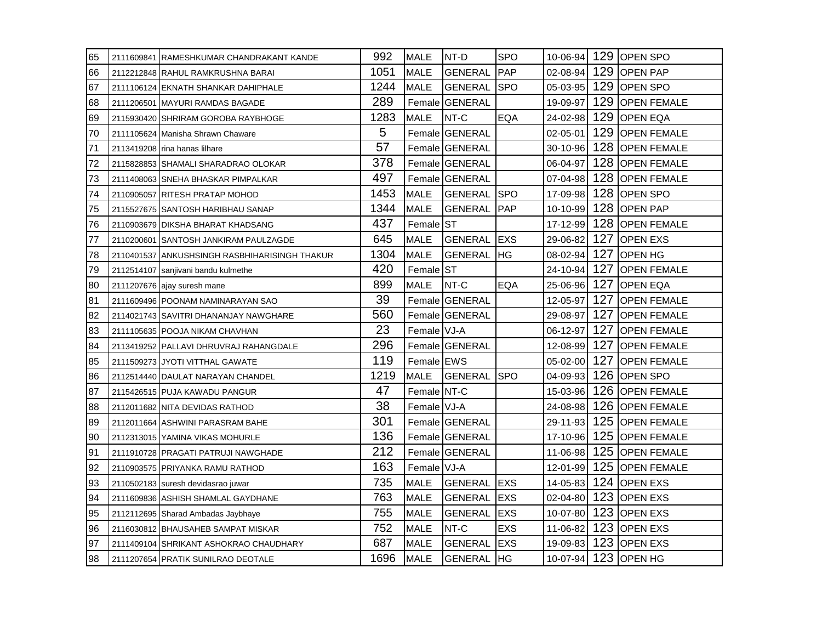| 65  | 2111609841 RAMESHKUMAR CHANDRAKANT KANDE      | 992  | <b>MALE</b>          | INT-D                  | <b>SPO</b> |          |     | 10-06-94 129 OPEN SPO |
|-----|-----------------------------------------------|------|----------------------|------------------------|------------|----------|-----|-----------------------|
| 66  | 2112212848 RAHUL RAMKRUSHNA BARAI             | 1051 | <b>MALE</b>          | <b>GENERAL</b>         | <b>PAP</b> | 02-08-94 |     | 129 OPEN PAP          |
| 67  | 2111106124 EKNATH SHANKAR DAHIPHALE           | 1244 | <b>MALE</b>          | <b>GENERAL</b>         | <b>SPO</b> | 05-03-95 |     | 129 OPEN SPO          |
| 168 | 2111206501 MAYURI RAMDAS BAGADE               | 289  |                      | Female GENERAL         |            | 19-09-97 |     | 129 OPEN FEMALE       |
| 69  | 2115930420 SHRIRAM GOROBA RAYBHOGE            | 1283 | <b>MALE</b>          | NT-C                   | <b>EQA</b> | 24-02-98 |     | 129 OPEN EQA          |
| 70  | 2111105624 Manisha Shrawn Chaware             | 5    |                      | Female GENERAL         |            | 02-05-01 | 129 | <b>OPEN FEMALE</b>    |
| 71  | 2113419208 rina hanas lilhare                 | 57   |                      | Female GENERAL         |            | 30-10-96 |     | 128 OPEN FEMALE       |
| 72  | 2115828853 SHAMALI SHARADRAO OLOKAR           | 378  |                      | Female GENERAL         |            | 06-04-97 |     | 128 OPEN FEMALE       |
| 173 | 2111408063 SNEHA BHASKAR PIMPALKAR            | 497  |                      | Female GENERAL         |            | 07-04-98 |     | 128 OPEN FEMALE       |
| 74  | 2110905057 RITESH PRATAP MOHOD                | 1453 | <b>MALE</b>          | <b>GENERAL SPO</b>     |            | 17-09-98 |     | 128 OPEN SPO          |
| 75  | 2115527675 SANTOSH HARIBHAU SANAP             | 1344 | <b>MALE</b>          | <b>GENERAL</b>         | <b>PAP</b> | 10-10-99 |     | 128 OPEN PAP          |
| 76  | 2110903679 DIKSHA BHARAT KHADSANG             | 437  | Female <sup>ST</sup> |                        |            | 17-12-99 |     | 128 OPEN FEMALE       |
| 77  | 2110200601 SANTOSH JANKIRAM PAULZAGDE         | 645  | <b>MALE</b>          | <b>GENERAL</b>         | <b>EXS</b> | 29-06-82 |     | 127 OPEN EXS          |
| 178 | 2110401537 ANKUSHSINGH RASBHIHARISINGH THAKUR | 1304 | <b>MALE</b>          | <b>GENERAL</b>         | IHG.       | 08-02-94 |     | 127 OPEN HG           |
| 79  | 2112514107 sanjivani bandu kulmethe           | 420  | Female ST            |                        |            | 24-10-94 |     | 127 OPEN FEMALE       |
| 80  | 2111207676 ajay suresh mane                   | 899  | <b>MALE</b>          | NT-C                   | EQA        | 25-06-96 | 127 | <b>OPEN EQA</b>       |
| 81  | 2111609496 POONAM NAMINARAYAN SAO             | 39   |                      | <b>Female IGENERAL</b> |            | 12-05-97 | 127 | <b>IOPEN FEMALE</b>   |
| 82  | 2114021743 SAVITRI DHANANJAY NAWGHARE         | 560  |                      | Female GENERAL         |            | 29-08-97 |     | 127 OPEN FEMALE       |
| 83  | 2111105635 POOJA NIKAM CHAVHAN                | 23   | Female VJ-A          |                        |            | 06-12-97 |     | 127 OPEN FEMALE       |
| 84  | 2113419252 PALLAVI DHRUVRAJ RAHANGDALE        | 296  |                      | Female GENERAL         |            | 12-08-99 |     | 127 OPEN FEMALE       |
| 85  | 2111509273 JYOTI VITTHAL GAWATE               | 119  | Female EWS           |                        |            | 05-02-00 | 127 | <b>OPEN FEMALE</b>    |
| 186 | 2112514440 DAULAT NARAYAN CHANDEL             | 1219 | MALE                 | <b>IGENERAL ISPO</b>   |            | 04-09-93 |     | 126 OPEN SPO          |
| 87  | 2115426515 PUJA KAWADU PANGUR                 | 47   | Female NT-C          |                        |            | 15-03-96 |     | 126 OPEN FEMALE       |
| 188 | 2112011682 NITA DEVIDAS RATHOD                | 38   | Female VJ-A          |                        |            | 24-08-98 |     | 126 OPEN FEMALE       |
| 89  | 2112011664 ASHWINI PARASRAM BAHE              | 301  |                      | Female GENERAL         |            | 29-11-93 |     | 125 OPEN FEMALE       |
| 90  | 2112313015 YAMINA VIKAS MOHURLE               | 136  |                      | Female GENERAL         |            | 17-10-96 | 125 | <b>OPEN FEMALE</b>    |
| 91  | 2111910728 PRAGATI PATRUJI NAWGHADE           | 212  |                      | Female GENERAL         |            | 11-06-98 |     | 125 OPEN FEMALE       |
| 92  | 2110903575 PRIYANKA RAMU RATHOD               | 163  | Female VJ-A          |                        |            | 12-01-99 |     | 125 OPEN FEMALE       |
| 193 | 2110502183 suresh devidasrao juwar            | 735  | <b>MALE</b>          | <b>GENERAL</b> EXS     |            | 14-05-83 |     | 124 OPEN EXS          |
| 94  | 2111609836 ASHISH SHAMLAL GAYDHANE            | 763  | <b>MALE</b>          | GENERAL                | <b>EXS</b> | 02-04-80 |     | 123 OPEN EXS          |
| 95  | 2112112695 Sharad Ambadas Jaybhaye            | 755  | <b>MALE</b>          | GENERAL                | <b>EXS</b> | 10-07-80 | 123 | <b>OPEN EXS</b>       |
| 196 | 2116030812 BHAUSAHEB SAMPAT MISKAR            | 752  | <b>MALE</b>          | NT-C                   | <b>EXS</b> | 11-06-82 |     | 123 OPEN EXS          |
| 197 | 2111409104 SHRIKANT ASHOKRAO CHAUDHARY        | 687  | <b>MALE</b>          | GENERAL EXS            |            | 19-09-83 |     | 123 OPEN EXS          |
| 198 | 2111207654 PRATIK SUNILRAO DEOTALE            | 1696 | <b>MALE</b>          | <b>GENERAL IHG</b>     |            |          |     | 10-07-94 123 OPEN HG  |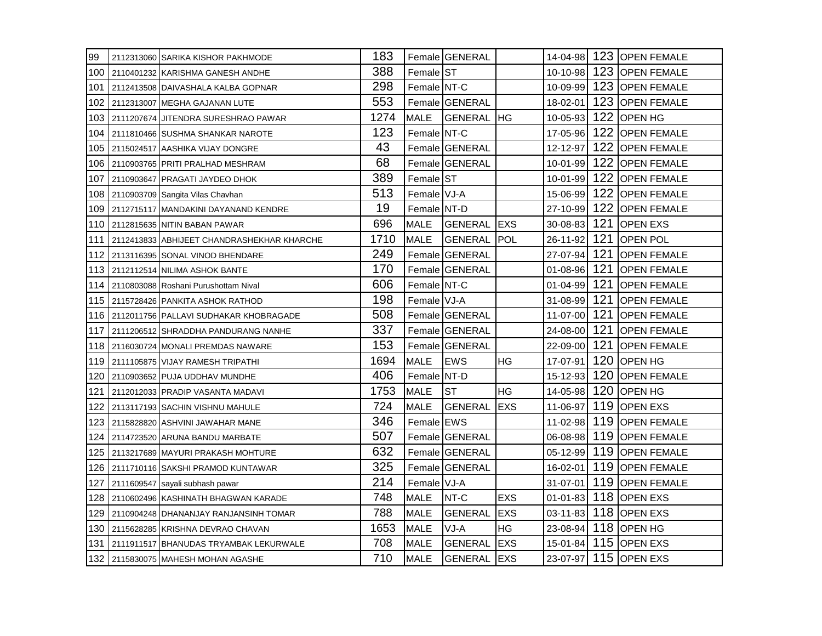| 99    | 2112313060 SARIKA KISHOR PAKHMODE              | 183  |                     | Female GENERAL     |             |                |     | 14-04-98 123 OPEN FEMALE |
|-------|------------------------------------------------|------|---------------------|--------------------|-------------|----------------|-----|--------------------------|
| 100   | 2110401232 KARISHMA GANESH ANDHE               | 388  | Female ST           |                    |             |                |     | 10-10-98 123 OPEN FEMALE |
| 101   | 2112413508 DAIVASHALA KALBA GOPNAR             | 298  | Female NT-C         |                    |             | 10-09-99       |     | 123 OPEN FEMALE          |
| 102   | 2112313007 MEGHA GAJANAN LUTE                  | 553  |                     | Female GENERAL     |             | 18-02-01       |     | 123 OPEN FEMALE          |
| 103   | 2111207674 JJITENDRA SURESHRAO PAWAR           | 1274 | <b>MALE</b>         | <b>GENERAL</b>     | <b>IHG</b>  | 10-05-93       |     | 122 OPEN HG              |
| 104   | 2111810466 SUSHMA SHANKAR NAROTE               | 123  | Female <b>INT-C</b> |                    |             | 17-05-96       | 122 | <b>OPEN FEMALE</b>       |
| 105   | 2115024517 AASHIKA VIJAY DONGRE                | 43   |                     | Female GENERAL     |             | 12-12-97       | 122 | <b>OPEN FEMALE</b>       |
| 106   | 2110903765 PRITI PRALHAD MESHRAM               | 68   |                     | Female GENERAL     |             | 10-01-99       |     | 122 OPEN FEMALE          |
| 107   | 2110903647 PRAGATI JAYDEO DHOK                 | 389  | Female ST           |                    |             | 10-01-99       |     | 122 OPEN FEMALE          |
| 108   | 2110903709 Sangita Vilas Chavhan               | 513  | Female VJ-A         |                    |             | 15-06-99       |     | 122 OPEN FEMALE          |
| 109   | 2112715117 MANDAKINI DAYANAND KENDRE           | 19   | Female NT-D         |                    |             | 27-10-99       | 122 | <b>JOPEN FEMALE</b>      |
| 110   | 2112815635 NITIN BABAN PAWAR                   | 696  | MALE                | <b>GENERAL</b>     | IEXS        | 30-08-83       | 121 | <b>OPEN EXS</b>          |
| 111   | 2112413833 ABHIJEET CHANDRASHEKHAR KHARCHE     | 1710 | <b>MALE</b>         | <b>GENERAL</b>     | IPOL        | 26-11-92       | 121 | <b>OPEN POL</b>          |
| 112   | 2113116395 SONAL VINOD BHENDARE                | 249  |                     | Female GENERAL     |             | 27-07-94       |     | 121 OPEN FEMALE          |
| 113   | 2112112514 NILIMA ASHOK BANTE                  | 170  |                     | Female GENERAL     |             | $01 - 08 - 96$ |     | 121 OPEN FEMALE          |
| 114   | 2110803088 Roshani Purushottam Nival           | 606  | Female NT-C         |                    |             | $01 - 04 - 99$ | 121 | <b>OPEN FEMALE</b>       |
| 115 I | 2115728426 PANKITA ASHOK RATHOD                | 198  | Female VJ-A         |                    |             | 31-08-99       | 121 | <b>IOPEN FEMALE</b>      |
|       | 116   2112011756   PALLAVI SUDHAKAR KHOBRAGADE | 508  |                     | Female GENERAL     |             | 11-07-00       | 121 | <b>OPEN FEMALE</b>       |
| 117   | 2111206512 SHRADDHA PANDURANG NANHE            | 337  |                     | Female GENERAL     |             | 24-08-00       |     | 121 OPEN FEMALE          |
| 118   | 2116030724 MONALI PREMDAS NAWARE               | 153  |                     | Female GENERAL     |             | 22-09-00       |     | 121 OPEN FEMALE          |
| 119   | 2111105875 VIJAY RAMESH TRIPATHI               | 1694 | MALE                | <b>IEWS</b>        | HG          | 17-07-91       | 120 | <b>OPEN HG</b>           |
| 120   | 2110903652 PUJA UDDHAV MUNDHE                  | 406  | Female NT-D         |                    |             | 15-12-93       | 120 | <b>JOPEN FEMALE</b>      |
| 121   | 2112012033 PRADIP VASANTA MADAVI               | 1753 | MALE                | <b>ST</b>          | <b>HG</b>   | 14-05-98       |     | 120 OPEN HG              |
| 122   | 2113117193 SACHIN VISHNU MAHULE                | 724  | <b>MALE</b>         | IGENERAL           | <b>IEXS</b> | 11-06-97       |     | 119 OPEN EXS             |
| 123   | 2115828820 ASHVINI JAWAHAR MANE                | 346  | Female EWS          |                    |             | 11-02-98       |     | 119 OPEN FEMALE          |
| 124   | 2114723520 ARUNA BANDU MARBATE                 | 507  |                     | Female GENERAL     |             | 06-08-98       | 119 | <b>JOPEN FEMALE</b>      |
| 125   | 2113217689 MAYURI PRAKASH MOHTURE              | 632  |                     | Female GENERAL     |             | $05 - 12 - 99$ |     | 119 OPEN FEMALE          |
| 126   | 2111710116 SAKSHI PRAMOD KUNTAWAR              | 325  |                     | Female GENERAL     |             |                |     | 16-02-01 119 OPEN FEMALE |
| 127   | 2111609547 sayali subhash pawar                | 214  | Female VJ-A         |                    |             |                |     | 31-07-01 119 OPEN FEMALE |
| 128   | 2110602496 KASHINATH BHAGWAN KARADE            | 748  | <b>MALE</b>         | NT-C               | <b>EXS</b>  | $01 - 01 - 83$ |     | 118 OPEN EXS             |
| 129   | 2110904248 DHANANJAY RANJANSINH TOMAR          | 788  | <b>MALE</b>         | <b>GENERAL</b>     | <b>EXS</b>  | 03-11-83       |     | 118 OPEN EXS             |
| 130   | 2115628285 KRISHNA DEVRAO CHAVAN               | 1653 | <b>MALE</b>         | VJ-A               | HG          |                |     | 23-08-94 118 OPEN HG     |
| 131   | 2111911517 BHANUDAS TRYAMBAK LEKURWALE         | 708  | <b>MALE</b>         | <b>GENERAL</b>     | <b>EXS</b>  |                |     | 15-01-84 115 OPEN EXS    |
|       | 132   2115830075   MAHESH MOHAN AGASHE         | 710  | <b>MALE</b>         | <b>GENERAL</b> EXS |             |                |     | 23-07-97 115 OPEN EXS    |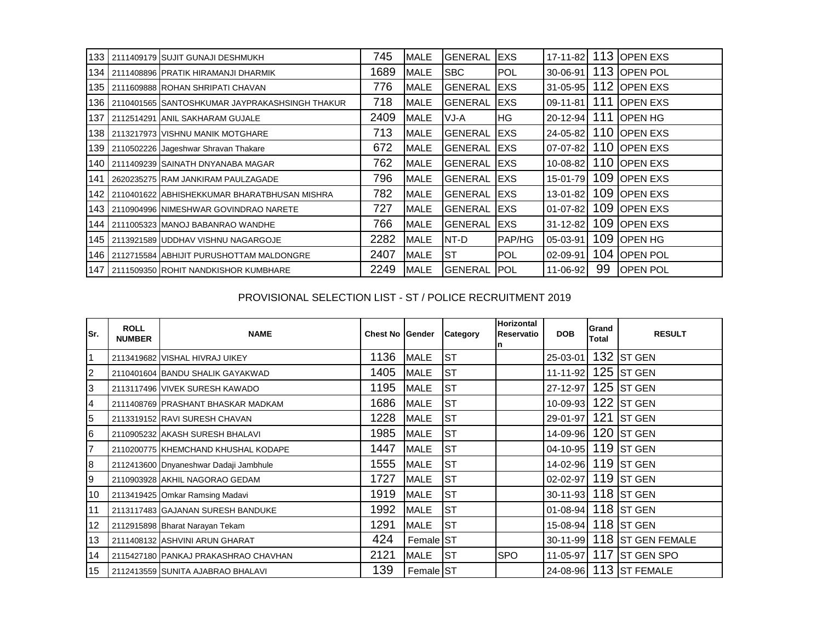|     | 133 2111409179 SUJIT GUNAJI DESHMUKH               | 745  | <b>MALE</b> | <b>GENERAL</b> | <b>EXS</b>    | 17-11-82       | 113 | <b>OPEN EXS</b>  |
|-----|----------------------------------------------------|------|-------------|----------------|---------------|----------------|-----|------------------|
|     | 134 2111408896 PRATIK HIRAMANJI DHARMIK            | 1689 | MALE        | <b>SBC</b>     | <b>POL</b>    | 30-06-91       |     | 113 OPEN POL     |
|     | 135 2111609888 ROHAN SHRIPATI CHAVAN               | 776  | <b>MALE</b> | <b>GENERAL</b> | <b>EXS</b>    | $31 - 05 - 95$ |     | 112 OPEN EXS     |
|     | 136 2110401565 SANTOSHKUMAR JAYPRAKASHSINGH THAKUR | 718  | MALE        | IGENERAL       | <b>IEXS</b>   | $09 - 11 - 81$ | 111 | <b>OPEN EXS</b>  |
| 137 | 2112514291 ANIL SAKHARAM GUJALE                    | 2409 | <b>MALE</b> | VJ-A           | <b>HG</b>     | $20 - 12 - 94$ | 111 | <b>IOPEN HG</b>  |
|     | 138 2113217973 VISHNU MANIK MOTGHARE               | 713  | MALE        | IGENERAL       | <b>IEXS</b>   | 24-05-82       |     | 110 OPEN EXS     |
| 139 | 2110502226 Jageshwar Shravan Thakare               | 672  | MALE        | <b>GENERAL</b> | <b>IEXS</b>   | $07-07-82$     |     | 110 OPEN EXS     |
| 140 | 2111409239 SAINATH DNYANABA MAGAR                  | 762  | MALE        | IGENERAL       | <b>IEXS</b>   | $10 - 08 - 82$ |     | 110 OPEN EXS     |
| 141 | 2620235275 RAM JANKIRAM PAULZAGADE                 | 796  | MALE        | IGENERAL       | <b>EXS</b>    | 15-01-79       |     | 109 OPEN EXS     |
| 142 | 2110401622 ABHISHEKKUMAR BHARATBHUSAN MISHRA       | 782  | <b>MALE</b> | IGENERAL       | <b>IEXS</b>   | $13 - 01 - 82$ |     | 109 OPEN EXS     |
|     | 143   2110904996 NIMESHWAR GOVINDRAO NARETE        | 727  | MALE        | IGENERAL       | <b>IEXS</b>   | $01 - 07 - 82$ |     | 109 OPEN EXS     |
| 144 | 2111005323 MANOJ BABANRAO WANDHE                   | 766  | <b>MALE</b> | <b>GENERAL</b> | <b>EXS</b>    | $31 - 12 - 82$ | 109 | <b>IOPEN EXS</b> |
|     | 145   2113921589 UDDHAV VISHNU NAGARGOJE           | 2282 | <b>MALE</b> | NT-D           | <b>PAP/HG</b> | 05-03-91       | 109 | <b>IOPEN HG</b>  |
|     | 146   2112715584 ABHIJIT PURUSHOTTAM MALDONGRE     | 2407 | <b>MALE</b> | <b>ST</b>      | <b>POL</b>    | 02-09-91       | 104 | <b>OPEN POL</b>  |
|     | 147 2111509350 ROHIT NANDKISHOR KUMBHARE           | 2249 | <b>MALE</b> | <b>GENERAL</b> | <b>POL</b>    | 11-06-92       | 99  | <b>OPEN POL</b>  |

## PROVISIONAL SELECTION LIST - ST / POLICE RECRUITMENT 2019

| lSr.            | <b>ROLL</b><br><b>NUMBER</b> | <b>NAME</b>                            | <b>Chest No Gender</b> |             | Category  | <b>Horizontal</b><br>Reservatio | <b>DOB</b>          | Grand<br>Total | <b>RESULT</b>          |
|-----------------|------------------------------|----------------------------------------|------------------------|-------------|-----------|---------------------------------|---------------------|----------------|------------------------|
| $\vert$ 1       |                              | 2113419682 VISHAL HIVRAJ UIKEY         | 1136                   | <b>MALE</b> | <b>ST</b> |                                 | 25-03-01            |                | $132$ ST GEN           |
| $\overline{c}$  |                              | 2110401604 BANDU SHALIK GAYAKWAD       | 1405                   | <b>MALE</b> | <b>ST</b> |                                 | 11-11-92            |                | 125 ST GEN             |
| 3               |                              | 2113117496 VIVEK SURESH KAWADO         | 1195                   | <b>MALE</b> | <b>ST</b> |                                 | 27-12-97            |                | $125$ ST GEN           |
| $\overline{4}$  |                              | 2111408769 PRASHANT BHASKAR MADKAM     | 1686                   | <b>MALE</b> | <b>ST</b> |                                 | 10-09-93            |                | $122$ ST GEN           |
| $\overline{5}$  |                              | 2113319152 RAVI SURESH CHAVAN          | 1228                   | <b>MALE</b> | <b>ST</b> |                                 | 29-01-97            | 121            | <b>ST GEN</b>          |
| $6\phantom{.}6$ |                              | 2110905232 AKASH SURESH BHALAVI        | 1985                   | <b>MALE</b> | <b>ST</b> |                                 | 14-09-96            |                | $120$ ST GEN           |
| 7               |                              | 2110200775 KHEMCHAND KHUSHAL KODAPE    | 1447                   | <b>MALE</b> | <b>ST</b> |                                 | $04 - 10 - 95$      |                | 119 ST GEN             |
| 8               |                              | 2112413600 Dnyaneshwar Dadaji Jambhule | 1555                   | <b>MALE</b> | <b>ST</b> |                                 | 14-02-96            |                | $119$ ST GEN           |
| 9               |                              | 2110903928 AKHIL NAGORAO GEDAM         | 1727                   | <b>MALE</b> | <b>ST</b> |                                 | 02-02-97            |                | 119 ST GEN             |
| 10              |                              | 2113419425 Omkar Ramsing Madavi        | 1919                   | <b>MALE</b> | <b>ST</b> |                                 | $30 - 11 - 93$      |                | 118 $ST GEN$           |
| 11              |                              | 2113117483 GAJANAN SURESH BANDUKE      | 1992                   | <b>MALE</b> | <b>ST</b> |                                 | 01-08-94 118 ST GEN |                |                        |
| 12              |                              | 2112915898 Bharat Narayan Tekam        | 1291                   | <b>MALE</b> | <b>ST</b> |                                 | 15-08-94 118 ST GEN |                |                        |
| 13              |                              | 2111408132 ASHVINI ARUN GHARAT         | 424                    | Female ST   |           |                                 | 30-11-99            |                | 118 ST GEN FEMALE      |
| 14              |                              | 2115427180 PANKAJ PRAKASHRAO CHAVHAN   | 2121                   | <b>MALE</b> | <b>ST</b> | <b>SPO</b>                      | 11-05-97            | 117            | <b>ST GEN SPO</b>      |
| 15              |                              | 2112413559 SUNITA AJABRAO BHALAVI      | 139                    | Female ST   |           |                                 |                     |                | 24-08-96 113 ST FEMALE |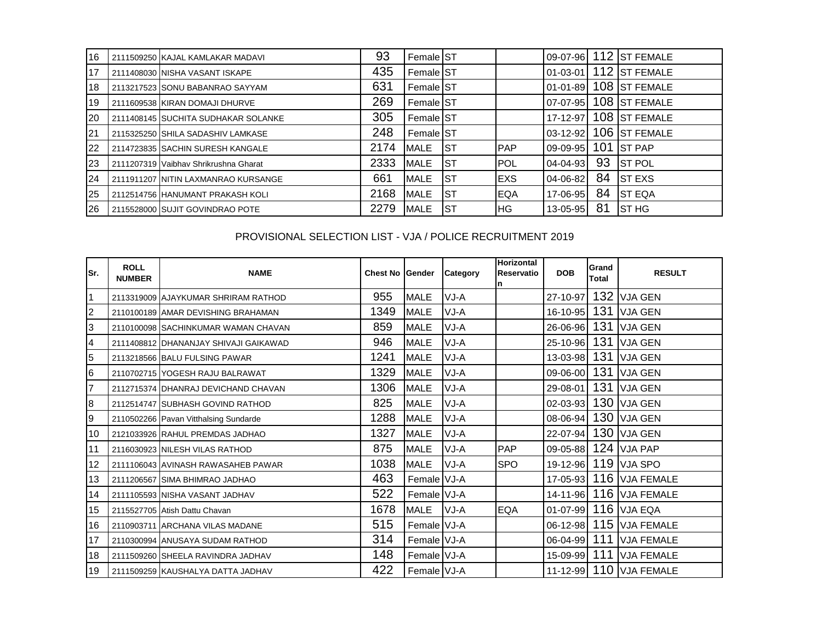| 16 | 2111509250 KAJAL KAMLAKAR MADAVI      | 93   | Female ST         |            |             |                |     | 09-07-96 112 ST FEMALE |
|----|---------------------------------------|------|-------------------|------------|-------------|----------------|-----|------------------------|
| 17 | 2111408030 NISHA VASANT ISKAPE        | 435  | <b>Female ST</b>  |            |             | $01 - 03 - 01$ |     | 112 ST FEMALE          |
| 18 | 2113217523 SONU BABANRAO SAYYAM       | 631  | <b>Female IST</b> |            |             | $01 - 01 - 89$ |     | 108 ST FEMALE          |
| 19 | 2111609538 KIRAN DOMAJI DHURVE        | 269  | <b>Female ST</b>  |            |             | $07-07-95$     |     | 108 ST FEMALE          |
| 20 | 2111408145 SUCHITA SUDHAKAR SOLANKE   | 305  | <b>Female ST</b>  |            |             | 17-12-97       |     | 108 ST FEMALE          |
| 21 | 2115325250 SHILA SADASHIV LAMKASE     | 248  | <b>Female IST</b> |            |             | $03 - 12 - 92$ |     | 106 ST FEMALE          |
| 22 | 2114723835 SACHIN SURESH KANGALE      | 2174 | <b>MALE</b>       | Ist        | <b>PAP</b>  | $09 - 09 - 95$ | 101 | <b>ST PAP</b>          |
| 23 | 2111207319 Vaibhav Shrikrushna Gharat | 2333 | <b>MALE</b>       | <b>IST</b> | <b>POL</b>  | $04 - 04 - 93$ | 93  | <b>ST POL</b>          |
| 24 | 2111911207 NITIN LAXMANRAO KURSANGE   | 661  | <b>MALE</b>       | <b>IST</b> | <b>EXS</b>  | 04-06-82       | 84  | <b>ST EXS</b>          |
| 25 | 2112514756 HANUMANT PRAKASH KOLI      | 2168 | <b>MALE</b>       | <b>IST</b> | <b>IEQA</b> | 17-06-95       | 84  | <b>ST EQA</b>          |
| 26 | 2115528000 SUJIT GOVINDRAO POTE       | 2279 | <b>MALE</b>       | IST        | lHG.        | 13-05-95       | 81  | <b>ST HG</b>           |

# PROVISIONAL SELECTION LIST - VJA / POLICE RECRUITMENT 2019

| lSr.           | <b>ROLL</b><br><b>NUMBER</b> | <b>NAME</b>                           | <b>Chest No Gender</b> |             | Category | Horizontal<br>Reservatio<br>n | <b>DOB</b>     | Grand<br>Total | <b>RESULT</b>           |
|----------------|------------------------------|---------------------------------------|------------------------|-------------|----------|-------------------------------|----------------|----------------|-------------------------|
| $\vert$ 1      |                              | 2113319009 AJAYKUMAR SHRIRAM RATHOD   | 955                    | <b>MALE</b> | VJ-A     |                               | 27-10-97       | 132            | <b>VJA GEN</b>          |
| $\overline{2}$ |                              | 2110100189 AMAR DEVISHING BRAHAMAN    | 1349                   | <b>MALE</b> | VJ-A     |                               | 16-10-95       | 131            | <b>VJA GEN</b>          |
| 3              |                              | 2110100098 SACHINKUMAR WAMAN CHAVAN   | 859                    | <b>MALE</b> | VJ-A     |                               | 26-06-96       | 131            | <b>VJA GEN</b>          |
| $\overline{a}$ |                              | 2111408812 DHANANJAY SHIVAJI GAIKAWAD | 946                    | <b>MALE</b> | VJ-A     |                               | 25-10-96       | 131            | <b>VJA GEN</b>          |
| 5              |                              | 2113218566 BALU FULSING PAWAR         | 1241                   | <b>MALE</b> | VJ-A     |                               | 13-03-98       | 131            | <b>VJA GEN</b>          |
| 6              |                              | 2110702715 YOGESH RAJU BALRAWAT       | 1329                   | <b>MALE</b> | VJ-A     |                               | 09-06-00       | 131            | <b>VJA GEN</b>          |
| $\overline{7}$ |                              | 2112715374 DHANRAJ DEVICHAND CHAVAN   | 1306                   | <b>MALE</b> | VJ-A     |                               | 29-08-01       | 131            | <b>VJA GEN</b>          |
| 8              |                              | 2112514747 SUBHASH GOVIND RATHOD      | 825                    | <b>MALE</b> | VJ-A     |                               | $02 - 03 - 93$ |                | 130 VJA GEN             |
| 9              |                              | 2110502266 Pavan Vitthalsing Sundarde | 1288                   | <b>MALE</b> | VJ-A     |                               | 08-06-94       |                | 130 VJA GEN             |
| 10             |                              | 2121033926 RAHUL PREMDAS JADHAO       | 1327                   | <b>MALE</b> | VJ-A     |                               |                |                | 22-07-94 130 VJA GEN    |
| 11             |                              | 2116030923 NILESH VILAS RATHOD        | 875                    | <b>MALE</b> | VJ-A     | <b>PAP</b>                    | 09-05-88       |                | 124 VJA PAP             |
| 12             |                              | 2111106043 AVINASH RAWASAHEB PAWAR    | 1038                   | <b>MALE</b> | VJ-A     | <b>SPO</b>                    | 19-12-96       |                | 119 VJA SPO             |
| 13             |                              | 2111206567 SIMA BHIMRAO JADHAO        | 463                    | Female VJ-A |          |                               | 17-05-93       |                | 116 VJA FEMALE          |
| 14             |                              | 2111105593 NISHA VASANT JADHAV        | 522                    | Female VJ-A |          |                               |                |                | 14-11-96 116 VJA FEMALE |
| 15             |                              | 2115527705 Atish Dattu Chavan         | 1678                   | <b>MALE</b> | VJ-A     | <b>EQA</b>                    | $01 - 07 - 99$ |                | $116$ VJA EQA           |
| 16             |                              | 2110903711 ARCHANA VILAS MADANE       | 515                    | Female VJ-A |          |                               |                |                | 06-12-98 115 VJA FEMALE |
| 17             |                              | 2110300994 ANUSAYA SUDAM RATHOD       | 314                    | Female VJ-A |          |                               | 06-04-99       | 111            | <b>VJA FEMALE</b>       |
| 18             |                              | 2111509260 SHEELA RAVINDRA JADHAV     | 148                    | Female VJ-A |          |                               | 15-09-99       | 111            | <b>VJA FEMALE</b>       |
| 19             |                              | 2111509259 KAUSHALYA DATTA JADHAV     | 422                    | Female VJ-A |          |                               |                |                | 11-12-99 110 VJA FEMALE |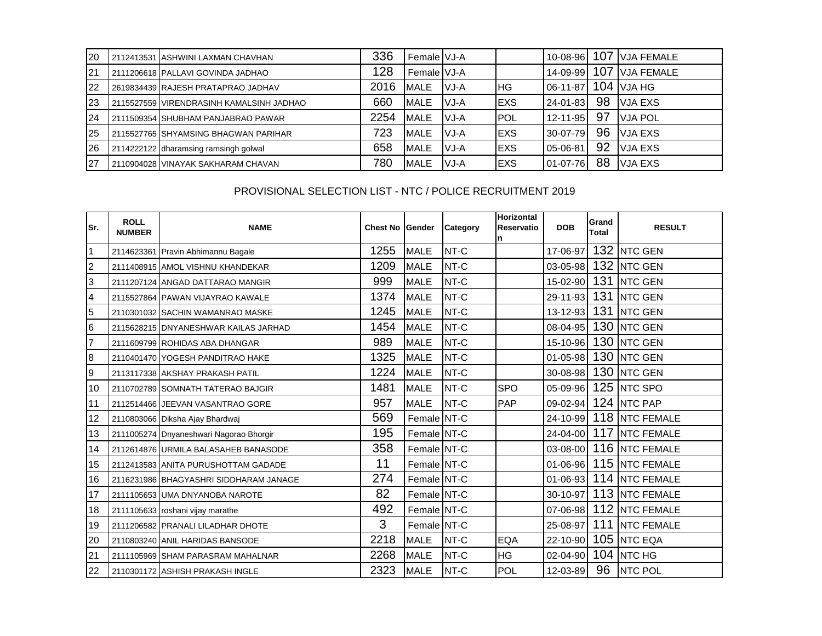| 20 | 2112413531 ASHWINI LAXMAN CHAVHAN        | 336  | Female VJ-A  |       |             | 10-08-96       |     | 107 VJA FEMALE    |
|----|------------------------------------------|------|--------------|-------|-------------|----------------|-----|-------------------|
| 21 | 2111206618 PALLAVI GOVINDA JADHAO        | 128  | Female VJ-A  |       |             | 14-09-99       | 107 | <b>VJA FEMALE</b> |
| 22 | 2619834439 RAJESH PRATAPRAO JADHAV       | 2016 | MALE         | IVJ-A | IHG.        | $06-11-87$     |     | $104$ VJA HG      |
| 23 | 2115527559 VIRENDRASINH KAMALSINH JADHAO | 660  | <b>MALE</b>  | VJ-A  | <b>EXS</b>  | 24-01-83       | 98  | <b>VJA EXS</b>    |
| 24 | 2111509354 SHUBHAM PANJABRAO PAWAR       | 2254 | MALE         | VJ-A  | <b>POL</b>  | $12 - 11 - 95$ | 97  | <b>VJA POL</b>    |
| 25 | 2115527765 SHYAMSING BHAGWAN PARIHAR     | 723  | <b>MALE</b>  | VJ-A  | <b>IEXS</b> | 30-07-79       | 96  | <b>VJA EXS</b>    |
| 26 | 2114222122 dharamsing ramsingh golwal    | 658  | <b>IMALE</b> | VJ-A  | <b>EXS</b>  | $05 - 06 - 81$ | 92  | <b>VJA EXS</b>    |
| 27 | 2110904028 VINAYAK SAKHARAM CHAVAN       | 780  | <b>IMALE</b> | VJ-A  | IEXS        | 01-07-76       | 88  | <b>VJA EXS</b>    |

## PROVISIONAL SELECTION LIST - NTC / POLICE RECRUITMENT 2019

| lSr.                    | <b>ROLL</b><br><b>NUMBER</b> | <b>NAME</b>                             | <b>Chest No Gender</b> |             | Category | <b>Horizontal</b><br>Reservatio | <b>DOB</b>     | Grand<br><b>Total</b> | <b>RESULT</b>        |
|-------------------------|------------------------------|-----------------------------------------|------------------------|-------------|----------|---------------------------------|----------------|-----------------------|----------------------|
| 1                       |                              | 2114623361 Pravin Abhimannu Bagale      | 1255                   | <b>MALE</b> | NT-C     |                                 | 17-06-97       |                       | 132 NTC GEN          |
| $\overline{c}$          |                              | 2111408915 AMOL VISHNU KHANDEKAR        | 1209                   | <b>MALE</b> | NT-C     |                                 |                |                       | 03-05-98 132 NTC GEN |
| 3                       |                              | 2111207124 ANGAD DATTARAO MANGIR        | 999                    | <b>MALE</b> | NT-C     |                                 | 15-02-90       |                       | 131 NTC GEN          |
| $\overline{\mathbf{4}}$ |                              | 2115527864 PAWAN VIJAYRAO KAWALE        | 1374                   | <b>MALE</b> | NT-C     |                                 |                |                       | 29-11-93 131 NTC GEN |
| 5                       |                              | 2110301032 SACHIN WAMANRAO MASKE        | 1245                   | <b>MALE</b> | NT-C     |                                 | 13-12-93       | 131                   | <b>NTC GEN</b>       |
| 6                       |                              | 2115628215 DNYANESHWAR KAILAS JARHAD    | 1454                   | <b>MALE</b> | NT-C     |                                 | 08-04-95       |                       | 130 NTC GEN          |
| $\overline{7}$          |                              | 2111609799 ROHIDAS ABA DHANGAR          | 989                    | <b>MALE</b> | NT-C     |                                 | 15-10-96       |                       | 130 NTC GEN          |
| 8                       |                              | 2110401470 YOGESH PANDITRAO HAKE        | 1325                   | <b>MALE</b> | NT-C     |                                 | $01 - 05 - 98$ |                       | 130 NTC GEN          |
| 9                       |                              | 2113117338 AKSHAY PRAKASH PATIL         | 1224                   | <b>MALE</b> | NT-C     |                                 |                |                       | 30-08-98 130 NTC GEN |
| 10                      |                              | 2110702789 SOMNATH TATERAO BAJGIR       | 1481                   | <b>MALE</b> | NT-C     | <b>SPO</b>                      |                |                       | 05-09-96 125 NTC SPO |
| 11                      |                              | 2112514466 JEEVAN VASANTRAO GORE        | 957                    | <b>MALE</b> | NT-C     | <b>PAP</b>                      |                |                       | 09-02-94 124 NTC PAP |
| 12                      |                              | 2110803066 Diksha Ajay Bhardwaj         | 569                    | Female NT-C |          |                                 | 24-10-99       |                       | 118 NTC FEMALE       |
| 13                      |                              | 2111005274 Dnyaneshwari Nagorao Bhorgir | 195                    | Female NT-C |          |                                 | $24 - 04 - 00$ |                       | 117 NTC FEMALE       |
| 14                      |                              | 2112614876 URMILA BALASAHEB BANASODE    | 358                    | Female NT-C |          |                                 | 03-08-00       |                       | 116 NTC FEMALE       |
| 15                      |                              | 2112413583 ANITA PURUSHOTTAM GADADE     | 11                     | Female NT-C |          |                                 | 01-06-96       |                       | 115 NTC FEMALE       |
| 16                      |                              | 2116231986 BHAGYASHRI SIDDHARAM JANAGE  | 274                    | Female NT-C |          |                                 | 01-06-93       |                       | 114 NTC FEMALE       |
| 17                      |                              | 2111105653 UMA DNYANOBA NAROTE          | 82                     | Female NT-C |          |                                 | 30-10-97       |                       | 113 NTC FEMALE       |
| 18                      |                              | 2111105633 roshani vijay marathe        | 492                    | Female NT-C |          |                                 | $07 - 06 - 98$ |                       | 112 NTC FEMALE       |
| 19                      |                              | 2111206582 PRANALI LILADHAR DHOTE       | 3                      | Female NT-C |          |                                 | 25-08-97       | 111                   | <b>NTC FEMALE</b>    |
| 20                      |                              | 2110803240 ANIL HARIDAS BANSODE         | 2218                   | <b>MALE</b> | NT-C     | <b>EQA</b>                      | 22-10-90       |                       | 105 NTC EQA          |
| 21                      |                              | 2111105969 SHAM PARASRAM MAHALNAR       | 2268                   | <b>MALE</b> | NT-C     | <b>HG</b>                       | $02 - 04 - 90$ |                       | <b>104 NTC HG</b>    |
| 22                      |                              | 2110301172 ASHISH PRAKASH INGLE         | 2323                   | <b>MALE</b> | NT-C     | POL                             | 12-03-89       | 96                    | <b>NTC POL</b>       |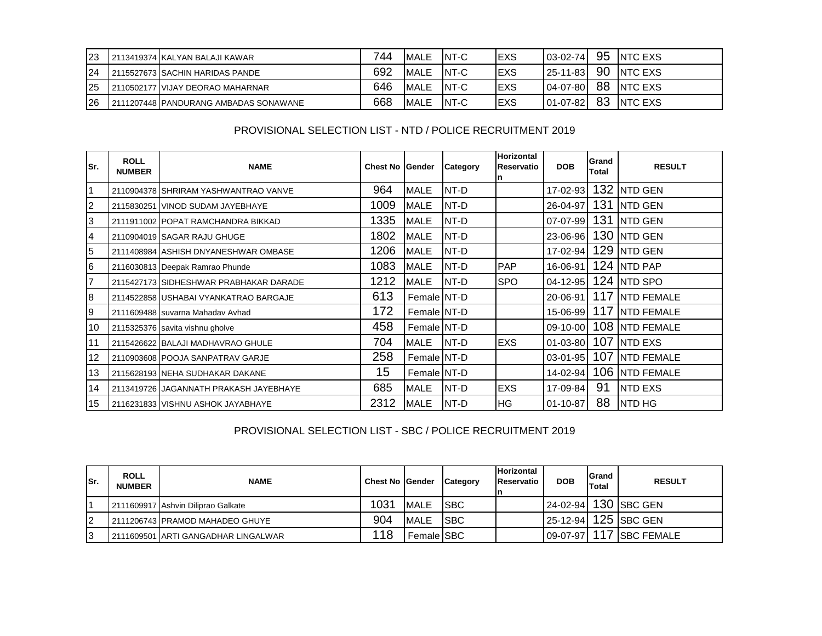| 23        | 2113419374 KALYAN BALAJI KAWAR        | 744 | <b>MALE</b> | INT-C       | IEXS | $03-02-74$     | 95 | <b>INTC EXS</b> |
|-----------|---------------------------------------|-----|-------------|-------------|------|----------------|----|-----------------|
| 24        | 2115527673 SACHIN HARIDAS PANDE       | 692 | <b>MALE</b> | INT-C       | IEXS | $25 - 11 - 83$ | 90 | <b>INTC EXS</b> |
| 25        | 2110502177 VIJAY DEORAO MAHARNAR      | 646 | <b>MALE</b> | INT-C       | IEXS | $04 - 07 - 80$ | 88 | <b>INTC EXS</b> |
| <b>26</b> | 2111207448 PANDURANG AMBADAS SONAWANE | 668 | <b>MALE</b> | <b>NT-C</b> | IEXS | $01 - 07 - 82$ | 83 | <b>INTC EXS</b> |

#### PROVISIONAL SELECTION LIST - NTD / POLICE RECRUITMENT 2019

| lSr.           | <b>ROLL</b><br><b>NUMBER</b> | <b>NAME</b>                            | <b>Chest No Gender</b> |             | Category    | <b>Horizontal</b><br>Reservatio<br>n | <b>DOB</b>     | Grand<br><b>Total</b> | <b>RESULT</b>     |
|----------------|------------------------------|----------------------------------------|------------------------|-------------|-------------|--------------------------------------|----------------|-----------------------|-------------------|
| 1              |                              | 2110904378 SHRIRAM YASHWANTRAO VANVE   | 964                    | <b>MALE</b> | NT-D        |                                      | 17-02-93       |                       | 132 NTD GEN       |
| $\overline{2}$ |                              | 2115830251 VINOD SUDAM JAYEBHAYE       | 1009                   | <b>MALE</b> | NT-D        |                                      | 26-04-97       | 131                   | <b>NTD GEN</b>    |
| 3              |                              | 2111911002 POPAT RAMCHANDRA BIKKAD     | 1335                   | <b>MALE</b> | NT-D        |                                      | 07-07-99       | 131                   | <b>NTD GEN</b>    |
| 4              |                              | 2110904019 SAGAR RAJU GHUGE            | 1802                   | <b>MALE</b> | NT-D        |                                      | 23-06-96       |                       | 130 NTD GEN       |
| 5              |                              | 2111408984 ASHISH DNYANESHWAR OMBASE   | 1206                   | <b>MALE</b> | NT-D        |                                      | 17-02-94       |                       | 129 NTD GEN       |
| 6              |                              | 2116030813 Deepak Ramrao Phunde        | 1083                   | <b>MALE</b> | NT-D        | <b>PAP</b>                           | 16-06-91       |                       | 124 NTD PAP       |
| $\overline{7}$ |                              | 2115427173 SIDHESHWAR PRABHAKAR DARADE | 1212                   | <b>MALE</b> | <b>NT-D</b> | <b>SPO</b>                           | $04 - 12 - 95$ |                       | 124 NTD SPO       |
| 8              |                              | 2114522858 USHABAI VYANKATRAO BARGAJE  | 613                    | Female NT-D |             |                                      | 20-06-91       | 117                   | <b>NTD FEMALE</b> |
| 9              |                              | 2111609488 suvarna Mahadav Avhad       | 172                    | Female NT-D |             |                                      | 15-06-99       | 117                   | <b>NTD FEMALE</b> |
| 10             |                              | 2115325376 savita vishnu gholve        | 458                    | Female NT-D |             |                                      | 09-10-00       |                       | 108 NTD FEMALE    |
| 11             |                              | 2115426622 BALAJI MADHAVRAO GHULE      | 704                    | <b>MALE</b> | NT-D        | <b>EXS</b>                           | 01-03-80       |                       | 107 NTD EXS       |
| 12             |                              | 2110903608 POOJA SANPATRAV GARJE       | 258                    | Female NT-D |             |                                      | $03 - 01 - 95$ | 107                   | <b>NTD FEMALE</b> |
| 13             |                              | 2115628193 NEHA SUDHAKAR DAKANE        | 15                     | Female NT-D |             |                                      | 14-02-94       |                       | 106 NTD FEMALE    |
| 14             |                              | 2113419726 JAGANNATH PRAKASH JAYEBHAYE | 685                    | <b>MALE</b> | NT-D        | <b>EXS</b>                           | 17-09-84       | 91                    | <b>NTD EXS</b>    |
| 15             |                              | 2116231833 VISHNU ASHOK JAYABHAYE      | 2312                   | <b>MALE</b> | NT-D        | IHG.                                 | $01 - 10 - 87$ | 88                    | <b>INTD HG</b>    |

# PROVISIONAL SELECTION LIST - SBC / POLICE RECRUITMENT 2019

| lSr. | <b>ROLL</b><br><b>NUMBER</b> | <b>NAME</b>                         | <b>Chest No Gender</b> |             | <b>Category</b> | <b>Horizontal</b><br>Reservatio | <b>DOB</b>     | <b>IGrand</b><br><b>Total</b> | <b>RESULT</b>        |
|------|------------------------------|-------------------------------------|------------------------|-------------|-----------------|---------------------------------|----------------|-------------------------------|----------------------|
|      |                              | 2111609917 Ashvin Diliprao Galkate  | 1031                   | MALE        | <b>ISBC</b>     |                                 |                |                               | 24-02-94 130 SBC GEN |
| I2   |                              | 2111206743 PRAMOD MAHADEO GHUYE     | 904                    | <b>MALE</b> | <b>ISBC</b>     |                                 | $25 - 12 - 94$ |                               | 125 SBC GEN          |
| ıз   |                              | 2111609501 ARTI GANGADHAR LINGALWAR | 118                    | Female SBC  |                 |                                 | $09-07-97$     |                               | 117 SBC FEMALE       |